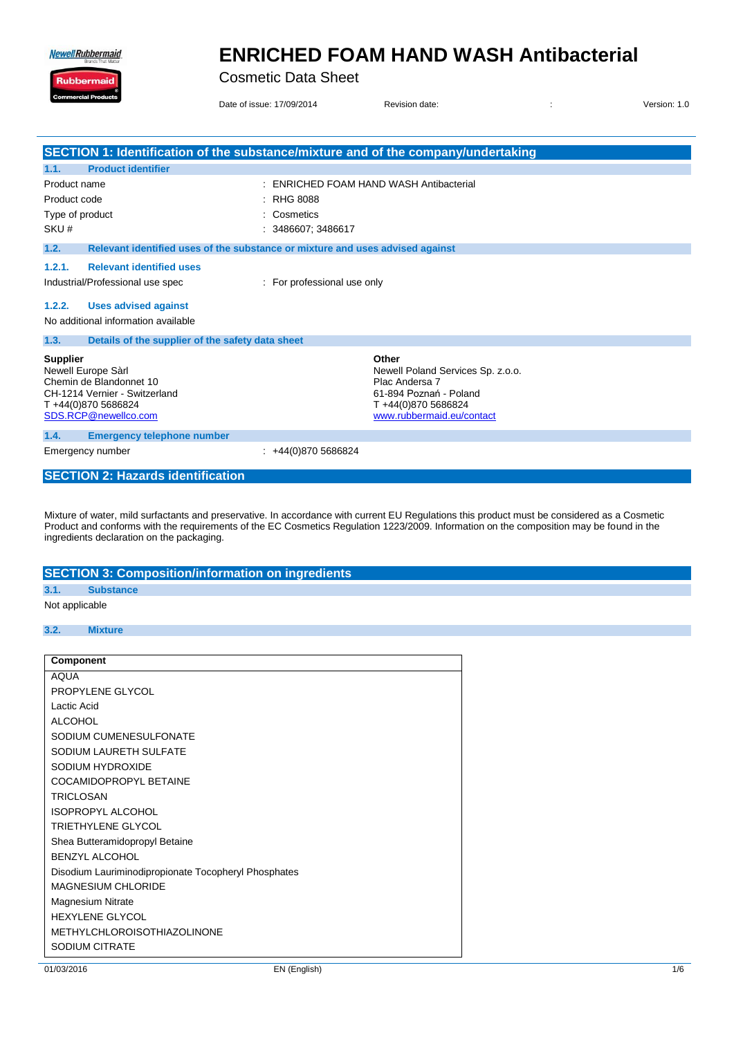**Newell Rubbermaid** 

Ruk

### **ENRICHED FOAM HAND WASH Antibacterial**

Cosmetic Data Sheet

Date of issue: 17/09/2014 Revision date:  $\overline{a}$  Revision date:  $\overline{b}$  2014 Revision: 1.0

|                                                                                                                                                 | SECTION 1: Identification of the substance/mixture and of the company/undertaking                                                         |
|-------------------------------------------------------------------------------------------------------------------------------------------------|-------------------------------------------------------------------------------------------------------------------------------------------|
| <b>Product identifier</b><br>1.1.                                                                                                               |                                                                                                                                           |
| Product name                                                                                                                                    | <b>ENRICHED FOAM HAND WASH Antibacterial</b>                                                                                              |
| Product code                                                                                                                                    | <b>RHG 8088</b>                                                                                                                           |
| Type of product                                                                                                                                 | Cosmetics                                                                                                                                 |
| SKU#                                                                                                                                            | 3486607; 3486617                                                                                                                          |
| 1.2.                                                                                                                                            | Relevant identified uses of the substance or mixture and uses advised against                                                             |
| <b>Relevant identified uses</b><br>1.2.1.<br>Industrial/Professional use spec                                                                   | : For professional use only                                                                                                               |
| 1.2.2.<br><b>Uses advised against</b>                                                                                                           |                                                                                                                                           |
| No additional information available                                                                                                             |                                                                                                                                           |
| 1.3.<br>Details of the supplier of the safety data sheet                                                                                        |                                                                                                                                           |
| <b>Supplier</b><br>Newell Europe Sàrl<br>Chemin de Blandonnet 10<br>CH-1214 Vernier - Switzerland<br>T+44(0)870 5686824<br>SDS.RCP@newellco.com | Other<br>Newell Poland Services Sp. z.o.o.<br>Plac Andersa 7<br>61-894 Poznań - Poland<br>T+44(0)870 5686824<br>www.rubbermaid.eu/contact |
| 1.4.<br><b>Emergency telephone number</b>                                                                                                       |                                                                                                                                           |
| Emergency number                                                                                                                                | +44(0)870 5686824                                                                                                                         |
| <b>SECTION 2: Hazards identification</b>                                                                                                        |                                                                                                                                           |

Mixture of water, mild surfactants and preservative. In accordance with current EU Regulations this product must be considered as a Cosmetic Product and conforms with the requirements of the EC Cosmetics Regulation 1223/2009. Information on the composition may be found in the ingredients declaration on the packaging.

|                                    |                  | <b>SECTION 3: Composition/information on ingredients</b> |
|------------------------------------|------------------|----------------------------------------------------------|
| 3.1.                               | <b>Substance</b> |                                                          |
| $\sim$ $\sim$ $\sim$ $\sim$ $\sim$ |                  |                                                          |

#### Not applicable

#### **3.2. Mixture**

| <b>Component</b>                                     |
|------------------------------------------------------|
| <b>AQUA</b>                                          |
| PROPYLENE GLYCOL                                     |
| Lactic Acid                                          |
| <b>ALCOHOL</b>                                       |
| SODIUM CUMENESULFONATE                               |
| SODIUM LAURETH SULFATE                               |
| SODIUM HYDROXIDE                                     |
| COCAMIDOPROPYL BETAINE                               |
| <b>TRICI OSAN</b>                                    |
| <b>ISOPROPYL ALCOHOL</b>                             |
| TRIFTHYLENE GLYCOL                                   |
| Shea Butteramidopropyl Betaine                       |
| <b>BENZYL ALCOHOL</b>                                |
| Disodium Lauriminodipropionate Tocopheryl Phosphates |
| MAGNESIUM CHI ORIDE                                  |
| <b>Magnesium Nitrate</b>                             |
| <b>HEXYLENE GLYCOL</b>                               |
| <b>METHYLCHLOROISOTHIAZOLINONE</b>                   |
| <b>SODIUM CITRATE</b>                                |
|                                                      |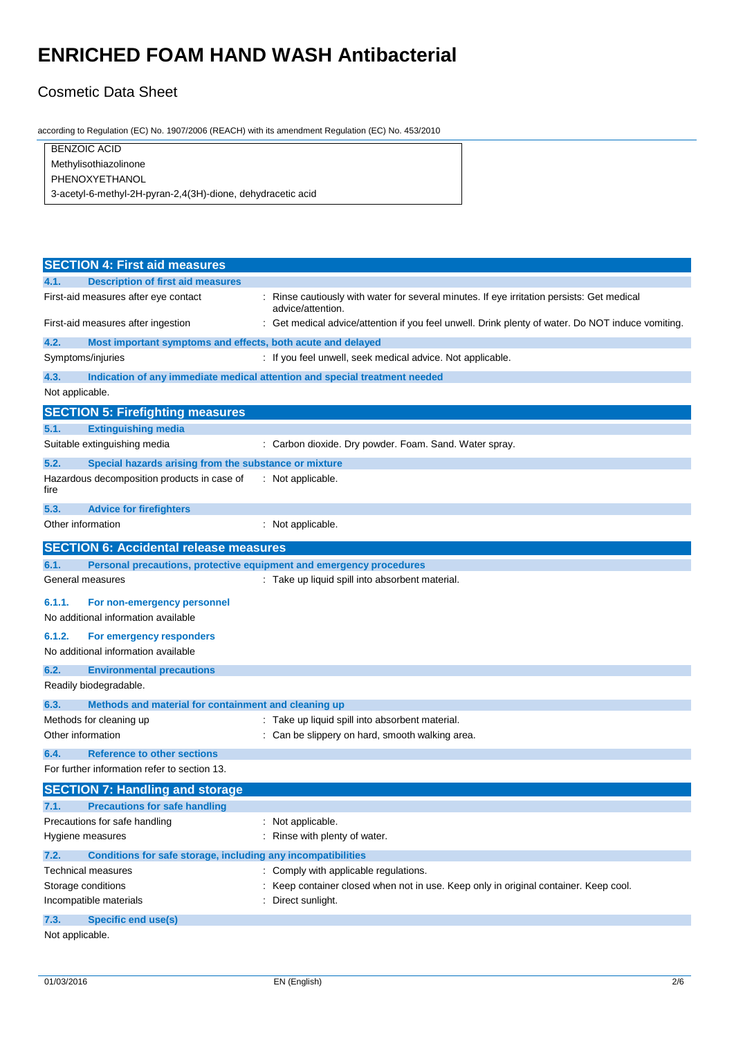#### Cosmetic Data Sheet

according to Regulation (EC) No. 1907/2006 (REACH) with its amendment Regulation (EC) No. 453/2010

| <b>BENZOIC ACID</b>                                         |  |
|-------------------------------------------------------------|--|
| Methylisothiazolinone                                       |  |
| PHENOXYETHANOL                                              |  |
| 3-acetyl-6-methyl-2H-pyran-2,4(3H)-dione, dehydracetic acid |  |

|                 | <b>SECTION 4: First aid measures</b>                                |                                                                                                               |
|-----------------|---------------------------------------------------------------------|---------------------------------------------------------------------------------------------------------------|
| 4.1.            | <b>Description of first aid measures</b>                            |                                                                                                               |
|                 | First-aid measures after eye contact                                | Rinse cautiously with water for several minutes. If eye irritation persists: Get medical<br>advice/attention. |
|                 | First-aid measures after ingestion                                  | Get medical advice/attention if you feel unwell. Drink plenty of water. Do NOT induce vomiting.               |
| 4.2.            | Most important symptoms and effects, both acute and delayed         |                                                                                                               |
|                 | Symptoms/injuries                                                   | : If you feel unwell, seek medical advice. Not applicable.                                                    |
| 4.3.            |                                                                     | Indication of any immediate medical attention and special treatment needed                                    |
| Not applicable. |                                                                     |                                                                                                               |
|                 | <b>SECTION 5: Firefighting measures</b>                             |                                                                                                               |
| 5.1.            | <b>Extinguishing media</b>                                          |                                                                                                               |
|                 | Suitable extinguishing media                                        | : Carbon dioxide. Dry powder. Foam. Sand. Water spray.                                                        |
| 5.2.            | Special hazards arising from the substance or mixture               |                                                                                                               |
| fire            | Hazardous decomposition products in case of                         | : Not applicable.                                                                                             |
| 5.3.            | <b>Advice for firefighters</b>                                      |                                                                                                               |
|                 | Other information                                                   | : Not applicable.                                                                                             |
|                 | <b>SECTION 6: Accidental release measures</b>                       |                                                                                                               |
| 6.1.            | Personal precautions, protective equipment and emergency procedures |                                                                                                               |
|                 | General measures                                                    | : Take up liquid spill into absorbent material.                                                               |
| 6.1.1.          | For non-emergency personnel<br>No additional information available  |                                                                                                               |
| 6.1.2.          | For emergency responders                                            |                                                                                                               |
|                 | No additional information available                                 |                                                                                                               |
| 6.2.            | <b>Environmental precautions</b>                                    |                                                                                                               |
|                 | Readily biodegradable.                                              |                                                                                                               |
| 6.3.            | Methods and material for containment and cleaning up                |                                                                                                               |
|                 | Methods for cleaning up                                             | : Take up liquid spill into absorbent material.                                                               |
|                 | Other information                                                   | Can be slippery on hard, smooth walking area.                                                                 |
| 6.4.            | <b>Reference to other sections</b>                                  |                                                                                                               |
|                 | For further information refer to section 13.                        |                                                                                                               |
|                 | <b>SECTION 7: Handling and storage</b>                              |                                                                                                               |
| 7.1.            | <b>Precautions for safe handling</b>                                |                                                                                                               |
|                 | Precautions for safe handling                                       | Not applicable.                                                                                               |
|                 | Hygiene measures                                                    | Rinse with plenty of water.                                                                                   |
| 7.2.            | Conditions for safe storage, including any incompatibilities        |                                                                                                               |
|                 | Technical measures                                                  | Comply with applicable regulations.                                                                           |
|                 | Storage conditions                                                  | Keep container closed when not in use. Keep only in original container. Keep cool.                            |
|                 | Incompatible materials                                              | Direct sunlight.                                                                                              |
| 7.3.            | <b>Specific end use(s)</b>                                          |                                                                                                               |
| Not applicable. |                                                                     |                                                                                                               |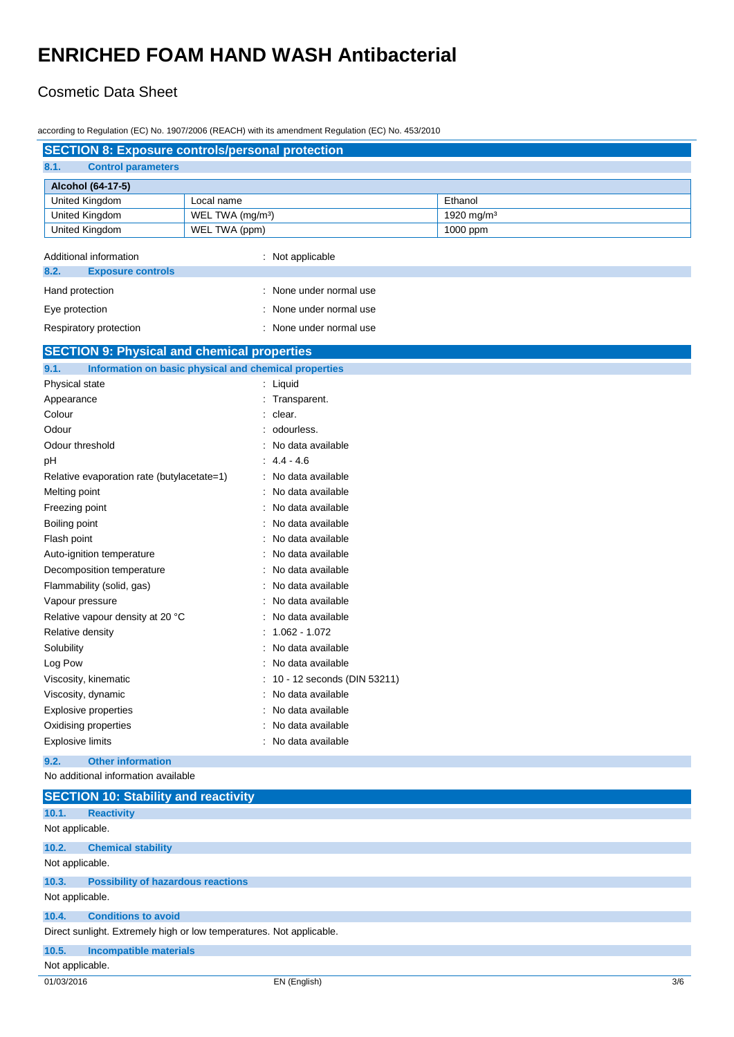#### Cosmetic Data Sheet

according to Regulation (EC) No. 1907/2006 (REACH) with its amendment Regulation (EC) No. 453/2010

| <b>SECTION 8: Exposure controls/personal protection</b>              |                              |                             |                        |
|----------------------------------------------------------------------|------------------------------|-----------------------------|------------------------|
| 8.1.<br><b>Control parameters</b>                                    |                              |                             |                        |
| Alcohol (64-17-5)                                                    |                              |                             |                        |
| United Kingdom                                                       | Local name                   |                             | Ethanol                |
| United Kingdom                                                       | WEL TWA (mg/m <sup>3</sup> ) |                             | 1920 mg/m <sup>3</sup> |
| United Kingdom                                                       | WEL TWA (ppm)                |                             | 1000 ppm               |
|                                                                      |                              |                             |                        |
| Additional information                                               |                              | : Not applicable            |                        |
| 8.2.<br><b>Exposure controls</b>                                     |                              |                             |                        |
| Hand protection                                                      |                              | None under normal use       |                        |
| Eye protection                                                       |                              | None under normal use       |                        |
| Respiratory protection                                               |                              | None under normal use       |                        |
| <b>SECTION 9: Physical and chemical properties</b>                   |                              |                             |                        |
| 9.1.<br>Information on basic physical and chemical properties        |                              |                             |                        |
| Physical state                                                       |                              | : Liquid                    |                        |
| Appearance                                                           |                              | Transparent.                |                        |
| Colour                                                               |                              | clear.                      |                        |
| Odour                                                                |                              | odourless.                  |                        |
| Odour threshold                                                      |                              | No data available           |                        |
| рH                                                                   |                              | $4.4 - 4.6$                 |                        |
| Relative evaporation rate (butylacetate=1)                           |                              | No data available           |                        |
| Melting point                                                        |                              | No data available           |                        |
| Freezing point                                                       |                              | No data available           |                        |
| Boiling point                                                        |                              | No data available           |                        |
| Flash point                                                          |                              | No data available           |                        |
| Auto-ignition temperature                                            |                              | No data available           |                        |
| Decomposition temperature                                            |                              | No data available           |                        |
| Flammability (solid, gas)                                            |                              | No data available           |                        |
| Vapour pressure                                                      |                              | No data available           |                        |
| Relative vapour density at 20 °C                                     |                              | No data available           |                        |
| Relative density                                                     |                              | 1.062 - 1.072               |                        |
| Solubility                                                           |                              | No data available           |                        |
| Log Pow                                                              |                              | No data available           |                        |
| Viscosity, kinematic                                                 |                              | 10 - 12 seconds (DIN 53211) |                        |
| Viscosity, dynamic                                                   |                              | No data available           |                        |
| <b>Explosive properties</b>                                          |                              | No data available           |                        |
| Oxidising properties                                                 |                              | No data available           |                        |
| <b>Explosive limits</b>                                              |                              | No data available           |                        |
| <b>Other information</b><br>9.2.                                     |                              |                             |                        |
| No additional information available                                  |                              |                             |                        |
| <b>SECTION 10: Stability and reactivity</b>                          |                              |                             |                        |
| 10.1.<br><b>Reactivity</b>                                           |                              |                             |                        |
| Not applicable.                                                      |                              |                             |                        |
| 10.2.<br><b>Chemical stability</b>                                   |                              |                             |                        |
| Not applicable.                                                      |                              |                             |                        |
| 10.3.<br><b>Possibility of hazardous reactions</b>                   |                              |                             |                        |
| Not applicable.                                                      |                              |                             |                        |
| 10.4.<br><b>Conditions to avoid</b>                                  |                              |                             |                        |
| Direct sunlight. Extremely high or low temperatures. Not applicable. |                              |                             |                        |
|                                                                      |                              |                             |                        |
| 10.5.<br><b>Incompatible materials</b>                               |                              |                             |                        |
| Not applicable.                                                      |                              |                             |                        |
| 01/03/2016                                                           |                              | EN (English)                | 3/6                    |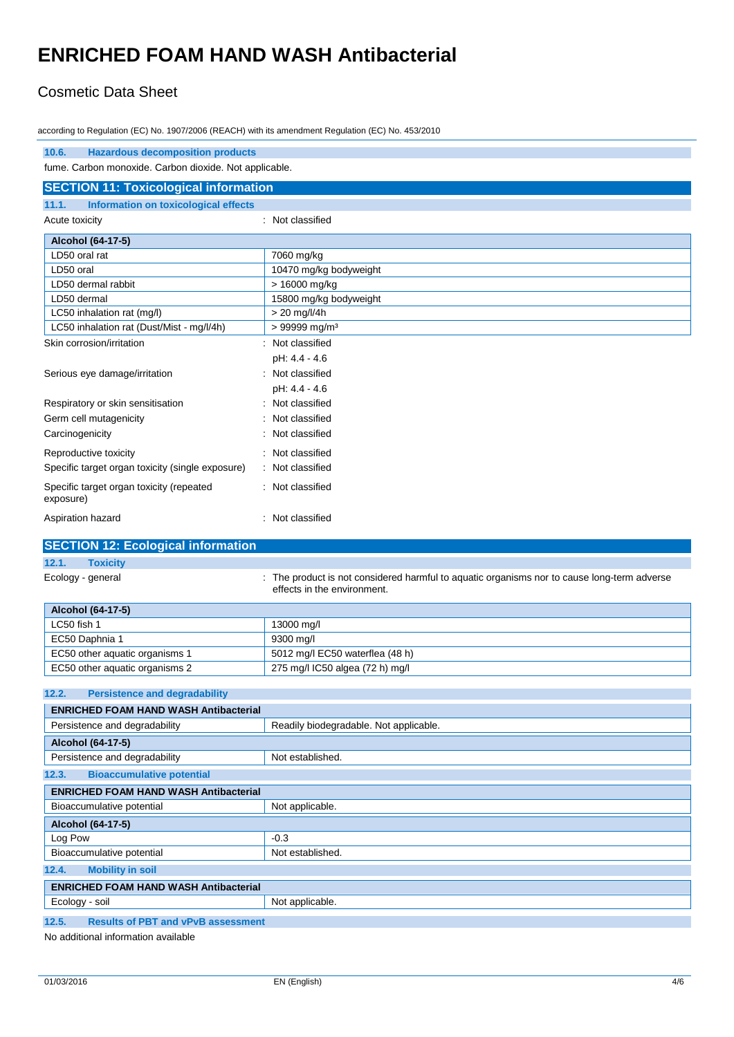#### Cosmetic Data Sheet

according to Regulation (EC) No. 1907/2006 (REACH) with its amendment Regulation (EC) No. 453/2010

| 10.6.<br><b>Hazardous decomposition products</b>       |                                                                                                                          |  |
|--------------------------------------------------------|--------------------------------------------------------------------------------------------------------------------------|--|
| fume. Carbon monoxide. Carbon dioxide. Not applicable. |                                                                                                                          |  |
| <b>SECTION 11: Toxicological information</b>           |                                                                                                                          |  |
| 11.1.<br>Information on toxicological effects          |                                                                                                                          |  |
| Acute toxicity                                         | : Not classified                                                                                                         |  |
| Alcohol (64-17-5)                                      |                                                                                                                          |  |
| LD50 oral rat                                          | 7060 mg/kg                                                                                                               |  |
| LD50 oral                                              | 10470 mg/kg bodyweight                                                                                                   |  |
| LD50 dermal rabbit                                     | $> 16000$ mg/kg                                                                                                          |  |
| LD50 dermal                                            | 15800 mg/kg bodyweight                                                                                                   |  |
| LC50 inhalation rat (mg/l)                             | > 20 mg/l/4h                                                                                                             |  |
| LC50 inhalation rat (Dust/Mist - mg/l/4h)              | > 99999 mg/m <sup>3</sup>                                                                                                |  |
| Skin corrosion/irritation                              | : Not classified                                                                                                         |  |
|                                                        | pH: 4.4 - 4.6                                                                                                            |  |
| Serious eye damage/irritation                          | Not classified                                                                                                           |  |
|                                                        | pH: 4.4 - 4.6                                                                                                            |  |
| Respiratory or skin sensitisation                      | Not classified                                                                                                           |  |
| Germ cell mutagenicity                                 | Not classified                                                                                                           |  |
| Carcinogenicity                                        | Not classified                                                                                                           |  |
| Reproductive toxicity                                  | Not classified                                                                                                           |  |
| Specific target organ toxicity (single exposure)       | Not classified                                                                                                           |  |
|                                                        |                                                                                                                          |  |
| Specific target organ toxicity (repeated<br>exposure)  | : Not classified                                                                                                         |  |
| Aspiration hazard                                      | Not classified                                                                                                           |  |
|                                                        |                                                                                                                          |  |
| <b>SECTION 12: Ecological information</b>              |                                                                                                                          |  |
| 12.1.<br><b>Toxicity</b>                               |                                                                                                                          |  |
| Ecology - general                                      | The product is not considered harmful to aquatic organisms nor to cause long-term adverse<br>effects in the environment. |  |
|                                                        |                                                                                                                          |  |
| Alcohol (64-17-5)<br>LC50 fish 1                       |                                                                                                                          |  |
| EC50 Daphnia 1                                         | 13000 mg/l<br>9300 mg/l                                                                                                  |  |
| EC50 other aquatic organisms 1                         | 5012 mg/l EC50 waterflea (48 h)                                                                                          |  |
| EC50 other aquatic organisms 2                         | 275 mg/l IC50 algea (72 h) mg/l                                                                                          |  |
|                                                        |                                                                                                                          |  |
| 12.2.<br><b>Persistence and degradability</b>          |                                                                                                                          |  |
| <b>ENRICHED FOAM HAND WASH Antibacterial</b>           |                                                                                                                          |  |
| Persistence and degradability                          | Readily biodegradable. Not applicable.                                                                                   |  |
| Alcohol (64-17-5)                                      |                                                                                                                          |  |
| Persistence and degradability                          | Not established.                                                                                                         |  |
| 12.3.<br><b>Bioaccumulative potential</b>              |                                                                                                                          |  |
|                                                        |                                                                                                                          |  |
| <b>ENRICHED FOAM HAND WASH Antibacterial</b>           |                                                                                                                          |  |
| Bioaccumulative potential                              | Not applicable.                                                                                                          |  |
| Alcohol (64-17-5)                                      |                                                                                                                          |  |
| Log Pow                                                | $-0.3$                                                                                                                   |  |
| Bioaccumulative potential                              | Not established.                                                                                                         |  |
| 12.4.<br><b>Mobility in soil</b>                       |                                                                                                                          |  |
| <b>ENRICHED FOAM HAND WASH Antibacterial</b>           |                                                                                                                          |  |
| Ecology - soil                                         | Not applicable.                                                                                                          |  |

No additional information available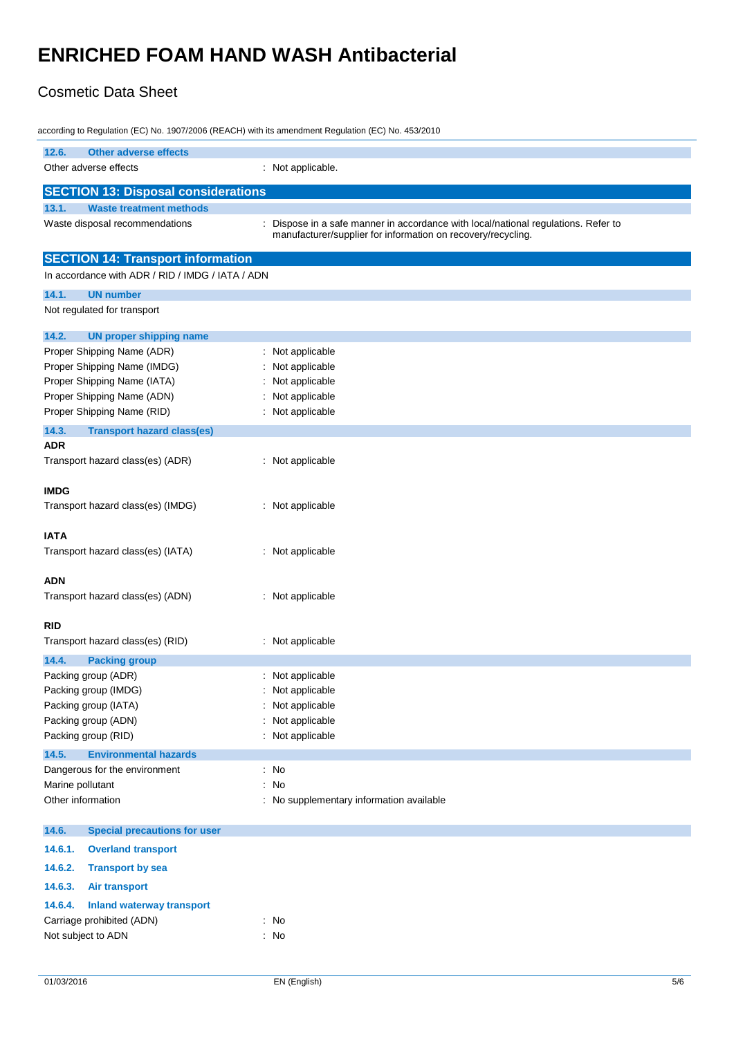### Cosmetic Data Sheet

| according to Regulation (EC) No. 1907/2006 (REACH) with its amendment Regulation (EC) No. 453/2010 |                                                                                  |  |
|----------------------------------------------------------------------------------------------------|----------------------------------------------------------------------------------|--|
| 12.6.<br><b>Other adverse effects</b>                                                              |                                                                                  |  |
| Other adverse effects                                                                              | : Not applicable.                                                                |  |
|                                                                                                    |                                                                                  |  |
| <b>SECTION 13: Disposal considerations</b>                                                         |                                                                                  |  |
| 13.1.<br><b>Waste treatment methods</b>                                                            |                                                                                  |  |
| Waste disposal recommendations                                                                     | Dispose in a safe manner in accordance with local/national regulations. Refer to |  |
|                                                                                                    | manufacturer/supplier for information on recovery/recycling.                     |  |
| <b>SECTION 14: Transport information</b>                                                           |                                                                                  |  |
|                                                                                                    |                                                                                  |  |
| In accordance with ADR / RID / IMDG / IATA / ADN                                                   |                                                                                  |  |
| 14.1.<br><b>UN number</b>                                                                          |                                                                                  |  |
| Not regulated for transport                                                                        |                                                                                  |  |
| 14.2.                                                                                              |                                                                                  |  |
| <b>UN proper shipping name</b>                                                                     |                                                                                  |  |
| Proper Shipping Name (ADR)<br>Proper Shipping Name (IMDG)                                          | Not applicable                                                                   |  |
|                                                                                                    | Not applicable                                                                   |  |
| Proper Shipping Name (IATA)                                                                        | Not applicable                                                                   |  |
| Proper Shipping Name (ADN)                                                                         | Not applicable                                                                   |  |
| Proper Shipping Name (RID)                                                                         | Not applicable                                                                   |  |
| 14.3.<br><b>Transport hazard class(es)</b>                                                         |                                                                                  |  |
| <b>ADR</b>                                                                                         |                                                                                  |  |
| Transport hazard class(es) (ADR)                                                                   | : Not applicable                                                                 |  |
|                                                                                                    |                                                                                  |  |
| <b>IMDG</b>                                                                                        |                                                                                  |  |
| Transport hazard class(es) (IMDG)                                                                  | : Not applicable                                                                 |  |
|                                                                                                    |                                                                                  |  |
| <b>IATA</b>                                                                                        |                                                                                  |  |
| Transport hazard class(es) (IATA)                                                                  | : Not applicable                                                                 |  |
|                                                                                                    |                                                                                  |  |
| <b>ADN</b>                                                                                         |                                                                                  |  |
| Transport hazard class(es) (ADN)                                                                   | : Not applicable                                                                 |  |
|                                                                                                    |                                                                                  |  |
| <b>RID</b>                                                                                         |                                                                                  |  |
| Transport hazard class(es) (RID)                                                                   | : Not applicable                                                                 |  |
| 14.4.<br><b>Packing group</b>                                                                      |                                                                                  |  |
| Packing group (ADR)                                                                                | : Not applicable                                                                 |  |
| Packing group (IMDG)                                                                               | : Not applicable                                                                 |  |
| Packing group (IATA)                                                                               | Not applicable                                                                   |  |
| Packing group (ADN)                                                                                | Not applicable                                                                   |  |
| Packing group (RID)                                                                                | Not applicable                                                                   |  |
| 14.5.<br><b>Environmental hazards</b>                                                              |                                                                                  |  |
| Dangerous for the environment                                                                      | $\therefore$ No                                                                  |  |
| Marine pollutant                                                                                   | $\therefore$ No                                                                  |  |
| Other information                                                                                  | : No supplementary information available                                         |  |
|                                                                                                    |                                                                                  |  |
| 14.6.<br><b>Special precautions for user</b>                                                       |                                                                                  |  |
| 14.6.1.<br><b>Overland transport</b>                                                               |                                                                                  |  |
|                                                                                                    |                                                                                  |  |
| 14.6.2.<br><b>Transport by sea</b>                                                                 |                                                                                  |  |
| 14.6.3.<br><b>Air transport</b>                                                                    |                                                                                  |  |
| 14.6.4.<br><b>Inland waterway transport</b>                                                        |                                                                                  |  |
| Carriage prohibited (ADN)                                                                          | : No                                                                             |  |
| Not subject to ADN                                                                                 | : No                                                                             |  |
|                                                                                                    |                                                                                  |  |